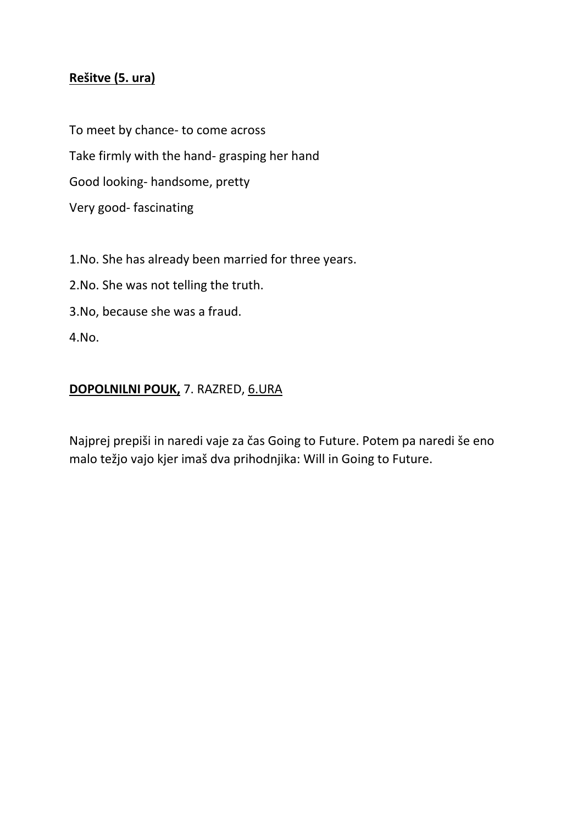# **Rešitve (5. ura)**

To meet by chance- to come across Take firmly with the hand- grasping her hand Good looking- handsome, pretty Very good- fascinating

1.No. She has already been married for three years.

2.No. She was not telling the truth.

3.No, because she was a fraud.

4.No.

# **DOPOLNILNI POUK,** 7. RAZRED, 6.URA

Najprej prepiši in naredi vaje za čas Going to Future. Potem pa naredi še eno malo težjo vajo kjer imaš dva prihodnjika: Will in Going to Future.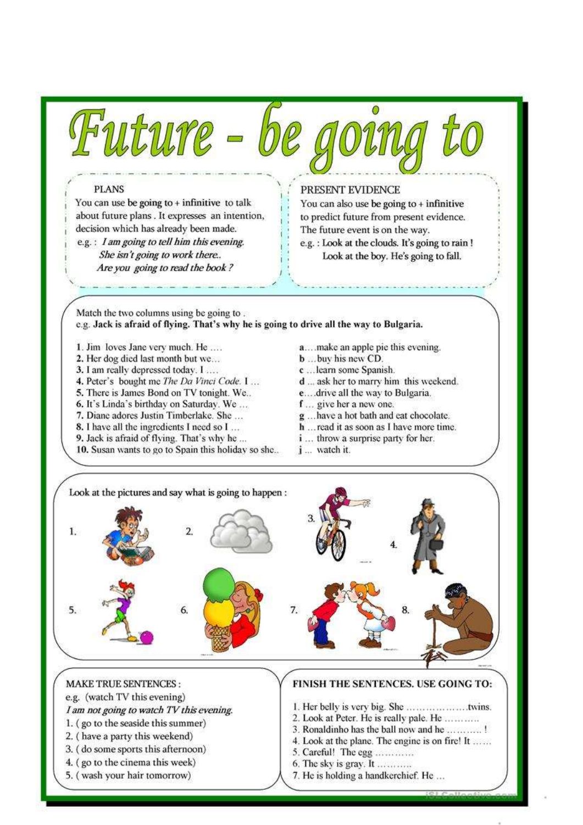

about future plans. It expresses an intention, decision which has already been made. e.g.: I am going to tell him this evening. She isn't going to work there.. Are you going to read the book?

You can also use be going to  $+$  infinitive to predict future from present evidence. The future event is on the way.

e.g.: Look at the clouds. It's going to rain ! Look at the boy. He's going to fall.

Match the two columns using be going to. e.g. Jack is afraid of flying. That's why he is going to drive all the way to Bulgaria.

- 1. Jim loves Jane very much. He ....
- 2. Her dog died last month but we...
- 3. I am really depressed today. I ....
- 4. Peter's bought me The Da Vinci Code. I ...
- 5. There is James Bond on TV tonight. We..
- 6. It's Linda's birthday on Saturday. We...
- 7. Diane adores Justin Timberlake. She ...
- 8. I have all the ingredients I need so I ...
- 9. Jack is afraid of flying. That's why he ...
- 10. Susan wants to go to Spain this holiday so she...
- a....make an apple pie this evening.
- b ... buy his new CD.
- c ... learn some Spanish.
- d ... ask her to marry him this weekend.
- e... drive all the way to Bulgaria.
- f... give her a new one.
- g ... have a hot bath and eat chocolate.
- h ... read it as soon as I have more time.
- *i* ... throw a surprise party for her.
- j ... watch it.



#### **MAKE TRUE SENTENCES:**

e.g. (watch TV this evening)

- I am not going to watch TV this evening.
- 1. (go to the seaside this summer)
- 2. (have a party this weekend)
- 3. (do some sports this afternoon)
- 4. (go to the cinema this week)
- 5. (wash your hair tomorrow)

#### FINISH THE SENTENCES. USE GOING TO:

- 
- 2. Look at Peter. He is really pale. He ............
- 3. Ronaldinho has the ball now and he ...........!
- 4. Look at the plane. The engine is on fire! It ......
- 5. Careful! The egg ............
- 6. The sky is gray. It ............
- 7. He is holding a handkerchief. He ...